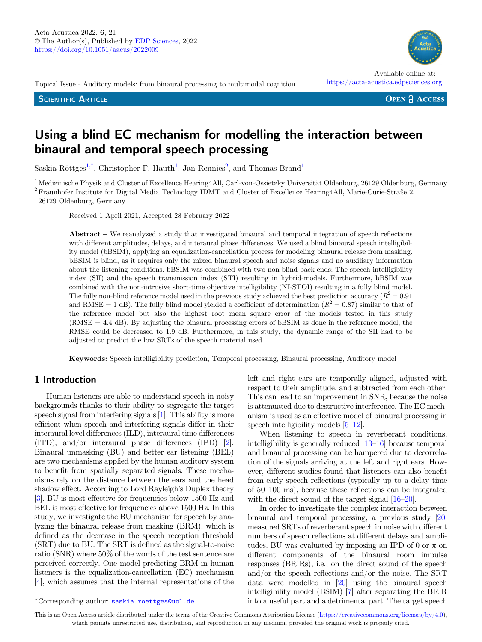Topical Issue - Auditory models: from binaural processing to multimodal cognition

**SCIENTIFIC ARTICLE** 



https://acta-acustica.edpsciences.org

**OPEN A ACCESS** 

# Using a blind EC mechanism for modelling the interaction between binaural and temporal speech processing

Saskia Röttges<sup>1,\*</sup>, Christopher F. Hauth<sup>1</sup>, Jan Rennies<sup>2</sup>, and Thomas Brand<sup>1</sup>

<sup>1</sup> Medizinische Physik and Cluster of Excellence Hearing4All, Carl-von-Ossietzky Universität Oldenburg, 26129 Oldenburg, Germany 2Fraunhofer Institute for Digital Media Technology IDMT and Cluster of Excellence Hearing4All, Marie-Curie-Straße 2,

26129 Oldenburg, Germany

Received 1 April 2021, Accepted 28 February 2022

Abstract – We reanalyzed a study that investigated binaural and temporal integration of speech reflections with different amplitudes, delays, and interaural phase differences. We used a blind binaural speech intelligibility model (bBSIM), applying an equalization-cancellation process for modeling binaural release from masking. bBSIM is blind, as it requires only the mixed binaural speech and noise signals and no auxiliary information about the listening conditions. bBSIM was combined with two non-blind back-ends: The speech intelligibility index (SII) and the speech transmission index (STI) resulting in hybrid-models. Furthermore, bBSIM was combined with the non-intrusive short-time objective intelligibility (NI-STOI) resulting in a fully blind model. The fully non-blind reference model used in the previous study achieved the best prediction accuracy  $(R^2 = 0.91)$ and RMSE = 1 dB). The fully blind model yielded a coefficient of determination  $(R^2 = 0.87)$  similar to that of the reference model but also the highest root mean square error of the models tested in this study  $(RMSE = 4.4$  dB). By adjusting the binaural processing errors of bBSIM as done in the reference model, the RMSE could be decreased to 1.9 dB. Furthermore, in this study, the dynamic range of the SII had to be adjusted to predict the low SRTs of the speech material used.

Keywords: Speech intelligibility prediction, Temporal processing, Binaural processing, Auditory model

# 1 Introduction

Human listeners are able to understand speech in noisy backgrounds thanks to their ability to segregate the target speech signal from interfering signals [[1](#page-11-0)]. This ability is more efficient when speech and interfering signals differ in their interaural level differences (ILD), interaural time differences (ITD), and/or interaural phase differences (IPD) [\[2\]](#page-11-0). Binaural unmasking (BU) and better ear listening (BEL) are two mechanisms applied by the human auditory system to benefit from spatially separated signals. These mechanisms rely on the distance between the ears and the head shadow effect. According to Lord Rayleigh's Duplex theory [\[3\]](#page-11-0), BU is most effective for frequencies below 1500 Hz and BEL is most effective for frequencies above 1500 Hz. In this study, we investigate the BU mechanism for speech by analyzing the binaural release from masking (BRM), which is defined as the decrease in the speech reception threshold (SRT) due to BU. The SRT is defined as the signal-to-noise ratio (SNR) where 50% of the words of the test sentence are perceived correctly. One model predicting BRM in human listeners is the equalization-cancellation (EC) mechanism [\[4\]](#page-12-0), which assumes that the internal representations of the left and right ears are temporally aligned, adjusted with respect to their amplitude, and subtracted from each other. This can lead to an improvement in SNR, because the noise is attenuated due to destructive interference. The EC mechanism is used as an effective model of binaural processing in speech intelligibility models [\[5](#page-12-0)–[12\]](#page-12-0).

When listening to speech in reverberant conditions, speech intelligibility models  $[5-12]$ .<br>When listening to speech in reverberant conditions,<br>intelligibility is generally reduced  $[13-16]$  $[13-16]$  $[13-16]$  $[13-16]$  because temporal and binaural processing can be hampered due to decorrelation of the signals arriving at the left and right ears. However, different studies found that listeners can also benefit from early speech reflections (typically up to a delay time of 50–100 ms), because these reflections can be integrated with the direct sound of the target signal  $[16–20]$  $[16–20]$  $[16–20]$  $[16–20]$ .

In order to investigate the complex interaction between binaural and temporal processing, a previous study [\[20](#page-12-0)] measured SRTs of reverberant speech in noise with different numbers of speech reflections at different delays and amplitudes. BU was evaluated by imposing an IPD of 0 or  $\pi$  on different components of the binaural room impulse responses (BRIRs), i.e., on the direct sound of the speech and/or the speech reflections and/or the noise. The SRT data were modelled in [[20](#page-12-0)] using the binaural speech intelligibility model (BSIM) [[7\]](#page-12-0) after separating the BRIR \*Corresponding author: saskia.roettges@uol.de into a useful part and a detrimental part. The target speech

This is an Open Access article distributed under the terms of the Creative Commons Attribution License [\(https://creativecommons.org/licenses/by/4.0\)](https://creativecommons.org/licenses/by/4.0/), which permits unrestricted use, distribution, and reproduction in any medium, provided the original work is properly cited.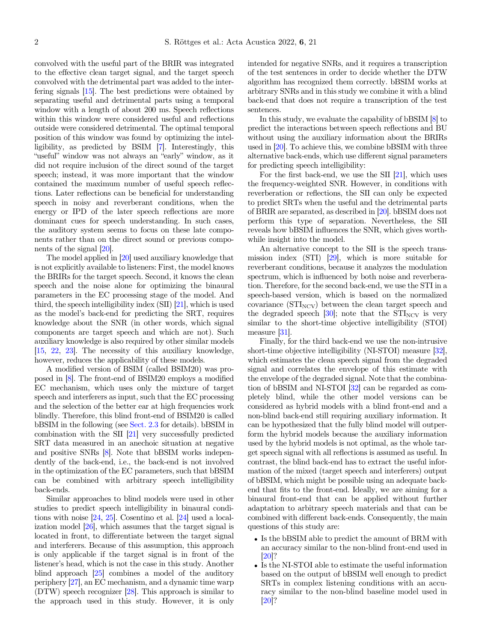convolved with the useful part of the BRIR was integrated to the effective clean target signal, and the target speech convolved with the detrimental part was added to the interfering signals [\[15](#page-12-0)]. The best predictions were obtained by separating useful and detrimental parts using a temporal window with a length of about 200 ms. Speech reflections within this window were considered useful and reflections outside were considered detrimental. The optimal temporal position of this window was found by optimizing the intelligibility, as predicted by BSIM [\[7\]](#page-12-0). Interestingly, this "useful" window was not always an "early" window, as it did not require inclusion of the direct sound of the target speech; instead, it was more important that the window contained the maximum number of useful speech reflections. Later reflections can be beneficial for understanding speech in noisy and reverberant conditions, when the energy or IPD of the later speech reflections are more dominant cues for speech understanding. In such cases, the auditory system seems to focus on these late components rather than on the direct sound or previous components of the signal [[20](#page-12-0)].

The model applied in [\[20\]](#page-12-0) used auxiliary knowledge that is not explicitly available to listeners: First, the model knows the BRIRs for the target speech. Second, it knows the clean speech and the noise alone for optimizing the binaural parameters in the EC processing stage of the model. And third, the speech intelligibility index (SII) [[21](#page-12-0)], which is used as the model's back-end for predicting the SRT, requires knowledge about the SNR (in other words, which signal components are target speech and which are not). Such auxiliary knowledge is also required by other similar models [\[15,](#page-12-0) [22,](#page-12-0) [23\]](#page-12-0). The necessity of this auxiliary knowledge, however, reduces the applicability of these models.

A modified version of BSIM (called BSIM20) was proposed in [\[8](#page-12-0)]. The front-end of BSIM20 employs a modified EC mechanism, which uses only the mixture of target speech and interferers as input, such that the EC processing and the selection of the better ear at high frequencies work blindly. Therefore, this blind front-end of BSIM20 is called bBSIM in the following (see [Sect. 2.3](#page-3-0) for details). bBSIM in combination with the SII [\[21\]](#page-12-0) very successfully predicted SRT data measured in an anechoic situation at negative and positive SNRs [\[8](#page-12-0)]. Note that bBSIM works independently of the back-end, i.e., the back-end is not involved in the optimization of the EC parameters, such that bBSIM can be combined with arbitrary speech intelligibility back-ends.

Similar approaches to blind models were used in other studies to predict speech intelligibility in binaural conditions with noise [[24](#page-12-0), [25](#page-12-0)]. Cosentino et al. [\[24\]](#page-12-0) used a localization model [\[26\]](#page-12-0), which assumes that the target signal is located in front, to differentiate between the target signal and interferers. Because of this assumption, this approach is only applicable if the target signal is in front of the listener's head, which is not the case in this study. Another blind approach [[25](#page-12-0)] combines a model of the auditory periphery [\[27\]](#page-12-0), an EC mechanism, and a dynamic time warp (DTW) speech recognizer [[28](#page-12-0)]. This approach is similar to the approach used in this study. However, it is only intended for negative SNRs, and it requires a transcription of the test sentences in order to decide whether the DTW algorithm has recognized them correctly. bBSIM works at arbitrary SNRs and in this study we combine it with a blind back-end that does not require a transcription of the test sentences.

In this study, we evaluate the capability of bBSIM [\[8\]](#page-12-0) to predict the interactions between speech reflections and BU without using the auxiliary information about the BRIRs used in [[20](#page-12-0)]. To achieve this, we combine bBSIM with three alternative back-ends, which use different signal parameters for predicting speech intelligibility:

For the first back-end, we use the SII [[21](#page-12-0)], which uses the frequency-weighted SNR. However, in conditions with reverberation or reflections, the SII can only be expected to predict SRTs when the useful and the detrimental parts of BRIR are separated, as described in [[20](#page-12-0)]. bBSIM does not perform this type of separation. Nevertheless, the SII reveals how bBSIM influences the SNR, which gives worthwhile insight into the model.

An alternative concept to the SII is the speech transmission index (STI) [[29](#page-12-0)], which is more suitable for reverberant conditions, because it analyzes the modulation spectrum, which is influenced by both noise and reverberation. Therefore, for the second back-end, we use the STI in a speech-based version, which is based on the normalized covariance  $(STI_{\text{NCV}})$  between the clean target speech and the degraded speech  $[30]$ ; note that the  $STI_{\text{NCV}}$  is very similar to the short-time objective intelligibility (STOI) measure [\[31\]](#page-12-0).

Finally, for the third back-end we use the non-intrusive short-time objective intelligibility (NI-STOI) measure [[32](#page-12-0)], which estimates the clean speech signal from the degraded signal and correlates the envelope of this estimate with the envelope of the degraded signal. Note that the combination of bBSIM and NI-STOI [\[32](#page-12-0)] can be regarded as completely blind, while the other model versions can be considered as hybrid models with a blind front-end and a non-blind back-end still requiring auxiliary information. It can be hypothesized that the fully blind model will outperform the hybrid models because the auxiliary information used by the hybrid models is not optimal, as the whole target speech signal with all reflections is assumed as useful. In contrast, the blind back-end has to extract the useful information of the mixed (target speech and interferers) output of bBSIM, which might be possible using an adequate backend that fits to the front-end. Ideally, we are aiming for a binaural front-end that can be applied without further adaptation to arbitrary speech materials and that can be combined with different back-ends. Consequently, the main questions of this study are:

- Is the bBSIM able to predict the amount of BRM with an accuracy similar to the non-blind front-end used in [\[20](#page-12-0)]?
- Is the NI-STOI able to estimate the useful information based on the output of bBSIM well enough to predict SRTs in complex listening conditions with an accuracy similar to the non-blind baseline model used in [\[20](#page-12-0)]?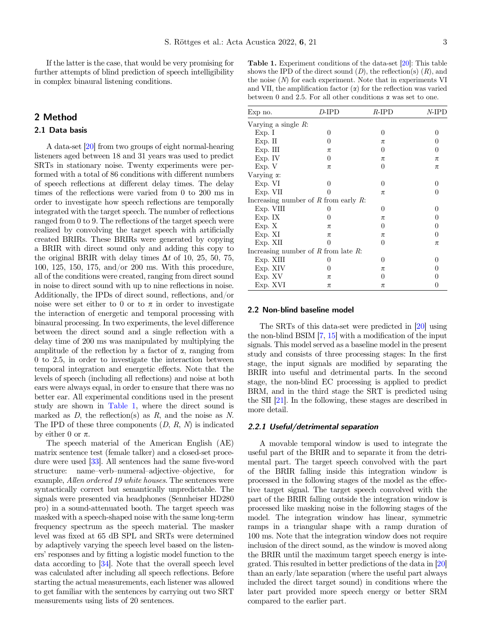<span id="page-2-0"></span>If the latter is the case, that would be very promising for further attempts of blind prediction of speech intelligibility in complex binaural listening conditions.

## 2 Method

#### 2.1 Data basis

A data-set [\[20\]](#page-12-0) from two groups of eight normal-hearing listeners aged between 18 and 31 years was used to predict SRTs in stationary noise. Twenty experiments were performed with a total of 86 conditions with different numbers of speech reflections at different delay times. The delay times of the reflections were varied from 0 to 200 ms in order to investigate how speech reflections are temporally integrated with the target speech. The number of reflections ranged from 0 to 9. The reflections of the target speech were realized by convolving the target speech with artificially created BRIRs. These BRIRs were generated by copying a BRIR with direct sound only and adding this copy to the original BRIR with delay times  $\Delta t$  of 10, 25, 50, 75, 100, 125, 150, 175, and/or 200 ms. With this procedure, all of the conditions were created, ranging from direct sound in noise to direct sound with up to nine reflections in noise. Additionally, the IPDs of direct sound, reflections, and/or noise were set either to 0 or to  $\pi$  in order to investigate the interaction of energetic and temporal processing with binaural processing. In two experiments, the level difference between the direct sound and a single reflection with a delay time of 200 ms was manipulated by multiplying the amplitude of the reflection by a factor of  $\alpha$ , ranging from 0 to 2.5, in order to investigate the interaction between temporal integration and energetic effects. Note that the levels of speech (including all reflections) and noise at both ears were always equal, in order to ensure that there was no better ear. All experimental conditions used in the present study are shown in Table 1, where the direct sound is marked as  $D$ , the reflection(s) as  $R$ , and the noise as  $N$ . The IPD of these three components  $(D, R, N)$  is indicated by either 0 or  $\pi$ .

The speech material of the American English (AE) matrix sentence test (female talker) and a closed-set procedure were used [[33](#page-12-0)]. All sentences had the same five-word structure: name–verb–numeral–adjective–objective, for example, Allen ordered 19 white houses. The sentences were syntactically correct but semantically unpredictable. The signals were presented via headphones (Sennheiser HD280 pro) in a sound-attenuated booth. The target speech was masked with a speech-shaped noise with the same long-term frequency spectrum as the speech material. The masker level was fixed at 65 dB SPL and SRTs were determined by adaptively varying the speech level based on the listeners' responses and by fitting a logistic model function to the data according to [[34](#page-12-0)]. Note that the overall speech level was calculated after including all speech reflections. Before starting the actual measurements, each listener was allowed to get familiar with the sentences by carrying out two SRT measurements using lists of 20 sentences.

Table 1. Experiment conditions of the data-set [[20\]](#page-12-0): This table shows the IPD of the direct sound  $(D)$ , the reflection(s)  $(R)$ , and the noise  $(N)$  for each experiment. Note that in experiments VI and VII, the amplification factor  $(\alpha)$  for the reflection was varied between 0 and 2.5. For all other conditions  $\alpha$  was set to one.

| Exp no.                | D-IPD                                     | $R$ -IPD | N-IPD    |
|------------------------|-------------------------------------------|----------|----------|
| Varying a single $R$ : |                                           |          |          |
| Exp. I                 | $\theta$                                  | 0        | $\theta$ |
| $Exp.$ II              | 0                                         | π        | 0        |
| Exp. III               | π                                         | 0        | 0        |
| Exp. IV                | 0                                         | π        | π        |
| Exp. V                 | π                                         | 0        | π        |
| Varying $\alpha$ :     |                                           |          |          |
| Exp. VI                | 0                                         | $\Omega$ | 0        |
| Exp. VII               | $^{(1)}$                                  | π        | $\theta$ |
|                        | Increasing number of $R$ from early $R$ : |          |          |
| Exp. VIII              | $\theta$                                  | 0        | 0        |
| Exp. IX                | 0                                         | π        | 0        |
| Exp. X                 | π                                         | 0        | $\theta$ |
| Exp. XI                | π                                         | π        | 0        |
| Exp. XII               | $\theta$                                  | 0        | π        |
|                        | Increasing number of $R$ from late $R$ :  |          |          |
| Exp. XIII              | $\theta$                                  | 0        | 0        |
| Exp. XIV               | $\theta$                                  | π        | 0        |
| Exp. XV                | π                                         | 0        | $\theta$ |
| Exp. XVI               | π                                         | π        | $\theta$ |

#### 2.2 Non-blind baseline model

The SRTs of this data-set were predicted in [[20\]](#page-12-0) using the non-blind BSIM [[7,](#page-12-0) [15\]](#page-12-0) with a modification of the input signals. This model served as a baseline model in the present study and consists of three processing stages: In the first stage, the input signals are modified by separating the BRIR into useful and detrimental parts. In the second stage, the non-blind EC processing is applied to predict BRM, and in the third stage the SRT is predicted using the SII [\[21\]](#page-12-0). In the following, these stages are described in more detail.

#### 2.2.1 Useful/detrimental separation

A movable temporal window is used to integrate the useful part of the BRIR and to separate it from the detrimental part. The target speech convolved with the part of the BRIR falling inside this integration window is processed in the following stages of the model as the effective target signal. The target speech convolved with the part of the BRIR falling outside the integration window is processed like masking noise in the following stages of the model. The integration window has linear, symmetric ramps in a triangular shape with a ramp duration of 100 ms. Note that the integration window does not require inclusion of the direct sound, as the window is moved along the BRIR until the maximum target speech energy is integrated. This resulted in better predictions of the data in [\[20](#page-12-0)] than an early/late separation (where the useful part always included the direct target sound) in conditions where the later part provided more speech energy or better SRM compared to the earlier part.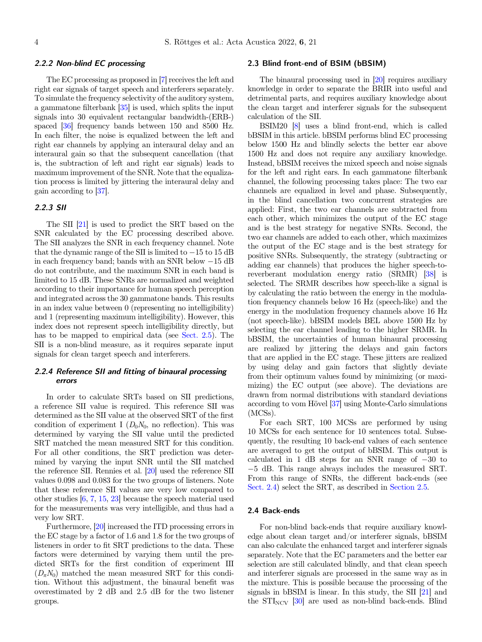#### <span id="page-3-0"></span>2.2.2 Non-blind EC processing

The EC processing as proposed in [\[7\]](#page-12-0) receives the left and right ear signals of target speech and interferers separately. To simulate the frequency selectivity of the auditory system, a gammatone filterbank [\[35](#page-12-0)] is used, which splits the input signals into 30 equivalent rectangular bandwidth-(ERB-) spaced [\[36\]](#page-12-0) frequency bands between 150 and 8500 Hz. In each filter, the noise is equalized between the left and right ear channels by applying an interaural delay and an interaural gain so that the subsequent cancellation (that is, the subtraction of left and right ear signals) leads to maximum improvement of the SNR. Note that the equalization process is limited by jittering the interaural delay and gain according to [\[37\]](#page-12-0).

#### 2.2.3 SII

The SII [\[21\]](#page-12-0) is used to predict the SRT based on the SNR calculated by the EC processing described above. The SII analyzes the SNR in each frequency channel. Note that the dynamic range of the SII is limited to  $-15$  to 15 dB in each frequency band; bands with an SNR below  $-15$  dB do not contribute, and the maximum SNR in each band is limited to 15 dB. These SNRs are normalized and weighted according to their importance for human speech perception and integrated across the 30 gammatone bands. This results in an index value between 0 (representing no intelligibility) and 1 (representing maximum intelligibility). However, this index does not represent speech intelligibility directly, but has to be mapped to empirical data (see [Sect. 2.5\)](#page-4-0). The SII is a non-blind measure, as it requires separate input signals for clean target speech and interferers.

#### 2.2.4 Reference SII and fitting of binaural processing errors

In order to calculate SRTs based on SII predictions, a reference SII value is required. This reference SII was determined as the SII value at the observed SRT of the first condition of experiment I  $(D_0N_0, \text{ no reflection})$ . This was determined by varying the SII value until the predicted SRT matched the mean measured SRT for this condition. For all other conditions, the SRT prediction was determined by varying the input SNR until the SII matched the reference SII. Rennies et al. [[20](#page-12-0)] used the reference SII values 0.098 and 0.083 for the two groups of listeners. Note that these reference SII values are very low compared to other studies [\[6](#page-12-0), [7](#page-12-0), [15](#page-12-0), [23\]](#page-12-0) because the speech material used for the measurements was very intelligible, and thus had a very low SRT.

Furthermore, [\[20\]](#page-12-0) increased the ITD processing errors in the EC stage by a factor of 1.6 and 1.8 for the two groups of listeners in order to fit SRT predictions to the data. These factors were determined by varying them until the predicted SRTs for the first condition of experiment III  $(D_{\pi}N_0)$  matched the mean measured SRT for this condition. Without this adjustment, the binaural benefit was overestimated by 2 dB and 2.5 dB for the two listener groups.

#### 2.3 Blind front-end of BSIM (bBSIM)

The binaural processing used in [\[20](#page-12-0)] requires auxiliary knowledge in order to separate the BRIR into useful and detrimental parts, and requires auxiliary knowledge about the clean target and interferer signals for the subsequent calculation of the SII.

BSIM20 [[8\]](#page-12-0) uses a blind front-end, which is called bBSIM in this article. bBSIM performs blind EC processing below 1500 Hz and blindly selects the better ear above 1500 Hz and does not require any auxiliary knowledge. Instead, bBSIM receives the mixed speech and noise signals for the left and right ears. In each gammatone filterbank channel, the following processing takes place: The two ear channels are equalized in level and phase. Subsequently, in the blind cancellation two concurrent strategies are applied: First, the two ear channels are subtracted from each other, which minimizes the output of the EC stage and is the best strategy for negative SNRs. Second, the two ear channels are added to each other, which maximizes the output of the EC stage and is the best strategy for positive SNRs. Subsequently, the strategy (subtracting or adding ear channels) that produces the higher speech-toreverberant modulation energy ratio (SRMR) [\[38](#page-13-0)] is selected. The SRMR describes how speech-like a signal is by calculating the ratio between the energy in the modulation frequency channels below 16 Hz (speech-like) and the energy in the modulation frequency channels above 16 Hz (not speech-like). bBSIM models BEL above 1500 Hz by selecting the ear channel leading to the higher SRMR. In bBSIM, the uncertainties of human binaural processing are realized by jittering the delays and gain factors that are applied in the EC stage. These jitters are realized by using delay and gain factors that slightly deviate from their optimum values found by minimizing (or maximizing) the EC output (see above). The deviations are drawn from normal distributions with standard deviations according to vom Hӧvel [\[37\]](#page-12-0) using Monte-Carlo simulations (MCSs).

For each SRT, 100 MCSs are performed by using 10 MCSs for each sentence for 10 sentences total. Subsequently, the resulting 10 back-end values of each sentence are averaged to get the output of bBSIM. This output is calculated in 1 dB steps for an SNR range of  $-30$  to 5 dB. This range always includes the measured SRT. From this range of SNRs, the different back-ends (see Sect. 2.4) select the SRT, as described in [Section 2.5.](#page-4-0)

#### 2.4 Back-ends

For non-blind back-ends that require auxiliary knowledge about clean target and/or interferer signals, bBSIM can also calculate the enhanced target and interferer signals separately. Note that the EC parameters and the better ear selection are still calculated blindly, and that clean speech and interferer signals are processed in the same way as in the mixture. This is possible because the processing of the signals in bBSIM is linear. In this study, the SII [[21\]](#page-12-0) and the  $STI_{\text{NCV}}$  [\[30\]](#page-12-0) are used as non-blind back-ends. Blind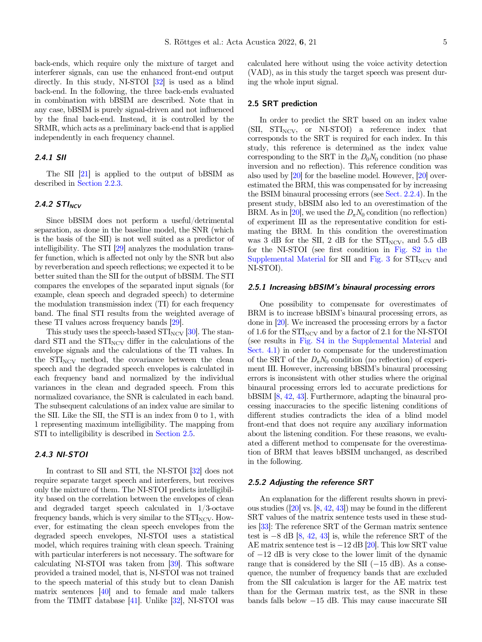<span id="page-4-0"></span>back-ends, which require only the mixture of target and interferer signals, can use the enhanced front-end output directly. In this study, NI-STOI [[32](#page-12-0)] is used as a blind back-end. In the following, the three back-ends evaluated in combination with bBSIM are described. Note that in any case, bBSIM is purely signal-driven and not influenced by the final back-end. Instead, it is controlled by the SRMR, which acts as a preliminary back-end that is applied independently in each frequency channel.

#### 2.4.1 SII

The SII [[21](#page-12-0)] is applied to the output of bBSIM as described in [Section 2.2.3](#page-3-0).

## 2.4.2  $STI_{NCV}$

Since bBSIM does not perform a useful/detrimental separation, as done in the baseline model, the SNR (which is the basis of the SII) is not well suited as a predictor of intelligibility. The STI [\[29\]](#page-12-0) analyzes the modulation transfer function, which is affected not only by the SNR but also by reverberation and speech reflections; we expected it to be better suited than the SII for the output of bBSIM. The STI compares the envelopes of the separated input signals (for example, clean speech and degraded speech) to determine the modulation transmission index (TI) for each frequency band. The final STI results from the weighted average of these TI values across frequency bands [\[29\]](#page-12-0).

This study uses the speech-based  $STI_{\rm NCV}$  [\[30\]](#page-12-0). The standard STI and the  $STI_{\text{NCV}}$  differ in the calculations of the envelope signals and the calculations of the TI values. In the  $STI_{\text{NCV}}$  method, the covariance between the clean speech and the degraded speech envelopes is calculated in each frequency band and normalized by the individual variances in the clean and degraded speech. From this normalized covariance, the SNR is calculated in each band. The subsequent calculations of an index value are similar to the SII. Like the SII, the STI is an index from 0 to 1, with 1 representing maximum intelligibility. The mapping from STI to intelligibility is described in Section 2.5.

## 2.4.3 NI-STOI

In contrast to SII and STI, the NI-STOI [\[32](#page-12-0)] does not require separate target speech and interferers, but receives only the mixture of them. The NI-STOI predicts intelligibility based on the correlation between the envelopes of clean and degraded target speech calculated in 1/3-octave frequency bands, which is very similar to the  $STI_{\text{NCV}}$ . However, for estimating the clean speech envelopes from the degraded speech envelopes, NI-STOI uses a statistical model, which requires training with clean speech. Training with particular interferers is not necessary. The software for calculating NI-STOI was taken from [[39](#page-13-0)]. This software provided a trained model, that is, NI-STOI was not trained to the speech material of this study but to clean Danish matrix sentences [\[40](#page-13-0)] and to female and male talkers from the TIMIT database  $[41]$  $[41]$  $[41]$ . Unlike  $[32]$  $[32]$ , NI-STOI was calculated here without using the voice activity detection (VAD), as in this study the target speech was present during the whole input signal.

#### 2.5 SRT prediction

In order to predict the SRT based on an index value  $(SII, STI_{NCV}, or NI-STOI)$  a reference index that corresponds to the SRT is required for each index. In this study, this reference is determined as the index value corresponding to the SRT in the  $D_0N_0$  condition (no phase inversion and no reflection). This reference condition was also used by [[20](#page-12-0)] for the baseline model. However, [[20](#page-12-0)] overestimated the BRM, this was compensated for by increasing the BSIM binaural processing errors (see [Sect. 2.2.4](#page-3-0)). In the present study, bBSIM also led to an overestimation of the BRM. As in [\[20](#page-12-0)], we used the  $D_{\pi}N_0$  condition (no reflection) of experiment III as the representative condition for estimating the BRM. In this condition the overestimation was 3 dB for the SII, 2 dB for the  $STI_{\text{NCV}}$ , and 5.5 dB for the NI-STOI (see first condition in [Fig. S2 in the](https://acta-acustica.edpsciences.org/10.1051/aacus/2022009/olm) [Supplemental Material](https://acta-acustica.edpsciences.org/10.1051/aacus/2022009/olm) for SII and Fig.  $3$  for  $STI_{\text{NCV}}$  and NI-STOI).

#### 2.5.1 Increasing bBSIM's binaural processing errors

One possibility to compensate for overestimates of BRM is to increase bBSIM's binaural processing errors, as done in [\[20](#page-12-0)]. We increased the processing errors by a factor of 1.6 for the  $STI_{\text{NCV}}$  and by a factor of 2.1 for the NI-STOI (see results in [Fig. S4 in the Supplemental Material](https://acta-acustica.edpsciences.org/10.1051/aacus/2022009/olm) and [Sect. 4.1](#page-9-0)) in order to compensate for the underestimation of the SRT of the  $D_{\pi}N_0$  condition (no reflection) of experi-<br>ment III. However, increasing bBSIM's binaural processing errors is inconsistent with other studies where the original binaural processing errors led to accurate predictions for bBSIM [\[8](#page-12-0), [42](#page-13-0), [43](#page-13-0)]. Furthermore, adapting the binaural processing inaccuracies to the specific listening conditions of different studies contradicts the idea of a blind model front-end that does not require any auxiliary information about the listening condition. For these reasons, we evaluated a different method to compensate for the overestimation of BRM that leaves bBSIM unchanged, as described in the following.

#### 2.5.2 Adjusting the reference SRT

An explanation for the different results shown in previous studies ([[20](#page-12-0)] vs. [[8](#page-12-0), [42](#page-13-0), [43\]](#page-13-0)) may be found in the different SRT values of the matrix sentence tests used in these studies [\[33\]](#page-12-0): The reference SRT of the German matrix sentence test is  $-8$  dB [[8,](#page-12-0) [42](#page-13-0), [43\]](#page-13-0) is, while the reference SRT of the AE matrix sentence test is  $-12$  dB [[20](#page-12-0)]. This low SRT value of  $-12$  dB is very close to the lower limit of the dynamic range that is considered by the SII  $(-15 \text{ dB})$ . As a consequence, the number of frequency bands that are excluded from the SII calculation is larger for the AE matrix test than for the German matrix test, as the SNR in these bands falls below  $-15$  dB. This may cause inaccurate SII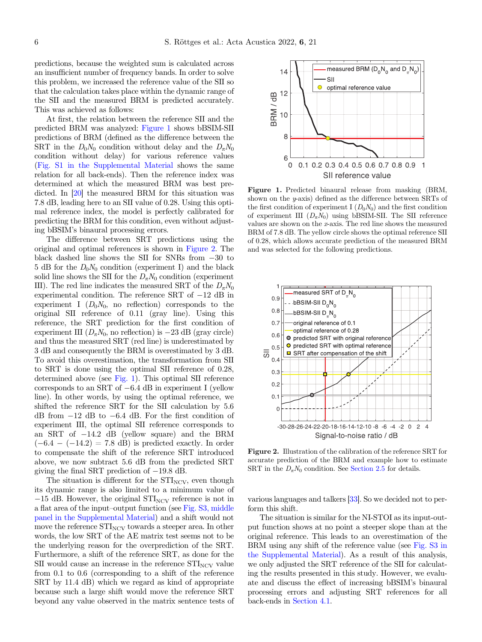<span id="page-5-0"></span>predictions, because the weighted sum is calculated across an insufficient number of frequency bands. In order to solve this problem, we increased the reference value of the SII so that the calculation takes place within the dynamic range of the SII and the measured BRM is predicted accurately. This was achieved as follows:

At first, the relation between the reference SII and the predicted BRM was analyzed: Figure 1 shows bBSIM-SII predictions of BRM (defined as the difference between the SRT in the  $D_0N_0$  condition without delay and the  $D_{\pi}N_0$ condition without delay) for various reference values [\(Fig. S1 in the Supplemental Material](https://acta-acustica.edpsciences.org/10.1051/aacus/2022009/olm) shows the same relation for all back-ends). Then the reference index was determined at which the measured BRM was best predicted. In [[20](#page-12-0)] the measured BRM for this situation was 7.8 dB, leading here to an SII value of 0.28. Using this optimal reference index, the model is perfectly calibrated for predicting the BRM for this condition, even without adjust-ing bBSIM's binaural processing errors.

The difference between SRT predictions using the original and optimal references is shown in Figure 2. The black dashed line shows the SII for SNRs from  $-30$  to 5 dB for the  $D_0N_0$  condition (experiment I) and the black solid line shows the SII for the  $D_{\pi}N_0$  condition (experiment III). The red line indicates the measured SRT of the  $D_{\pi}N_0$ experimental condition. The reference SRT of  $-12$  dB in experiment I  $(D_0N_0, \text{no reflection})$  corresponds to the original SII reference of 0.11 (gray line). Using this reference, the SRT prediction for the first condition of experiment III  $(D_{\pi}N_0)$ , no reflection) is  $-23$  dB (gray circle) and thus the measured SRT (red line) is underestimated by 3 dB and consequently the BRM is overestimated by 3 dB. To avoid this overestimation, the transformation from SII to SRT is done using the optimal SII reference of 0.28, determined above (see Fig. 1). This optimal SII reference corresponds to an SRT of  $-6.4$  dB in experiment I (yellow line). In other words, by using the optimal reference, we shifted the reference SRT for the SII calculation by 5.6 dB from  $-12$  dB to  $-6.4$  dB. For the first condition of experiment III, the optimal SII reference corresponds to an SRT of  $-14.2$  dB (yellow square) and the BRM  $(-6.4 - (-14.2) = 7.8$  dB) is predicted exactly. In order to compensate the shift of the reference SRT introduced above, we now subtract 5.6 dB from the predicted SRT giving the final SRT prediction of  $-19.8$  dB.

The situation is different for the  $STI_{\rm NCV}$ , even though its dynamic range is also limited to a minimum value of  $-15$  dB. However, the original  $STI_{\text{NCV}}$  reference is not in a flat area of the input–output function (see [Fig. S3, middle](https://acta-acustica.edpsciences.org/10.1051/aacus/2022009/olm) [panel in the Supplemental Material](https://acta-acustica.edpsciences.org/10.1051/aacus/2022009/olm)) and a shift would not move the reference  $STI_{\text{NCV}}$  towards a steeper area. In other words, the low SRT of the AE matrix test seems not to be the underlying reason for the overprediction of the SRT. Furthermore, a shift of the reference SRT, as done for the SII would cause an increase in the reference  $STI_{\text{NCV}}$  value from 0.1 to 0.6 (corresponding to a shift of the reference SRT by 11.4 dB) which we regard as kind of appropriate because such a large shift would move the reference SRT beyond any value observed in the matrix sentence tests of



Figure 1. Predicted binaural release from masking (BRM, shown on the  $\nu$ -axis) defined as the difference between SRTs of the first condition of experiment I  $(D_0N_0)$  and the first condition of experiment III  $(D<sub>x</sub>N<sub>0</sub>)$  using bBSIM-SII. The SII reference values are shown on the x-axis. The red line shows the measured BRM of 7.8 dB. The yellow circle shows the optimal reference SII of 0.28, which allows accurate prediction of the measured BRM and was selected for the following predictions.



Figure 2. Illustration of the calibration of the reference SRT for accurate prediction of the BRM and example how to estimate SRT in the  $D_{\pi}N_0$  condition. See [Section 2.5](#page-4-0) for details.

various languages and talkers [\[33\]](#page-12-0). So we decided not to perform this shift.

The situation is similar for the NI-STOI as its input-output function shows at no point a steeper slope than at the original reference. This leads to an overestimation of the BRM using any shift of the reference value (see [Fig. S3 in](https://acta-acustica.edpsciences.org/10.1051/aacus/2022009/olm) [the Supplemental Material](https://acta-acustica.edpsciences.org/10.1051/aacus/2022009/olm)). As a result of this analysis, we only adjusted the SRT reference of the SII for calculating the results presented in this study. However, we evaluate and discuss the effect of increasing bBSIM's binaural processing errors and adjusting SRT references for all back-ends in [Section 4.1.](#page-9-0)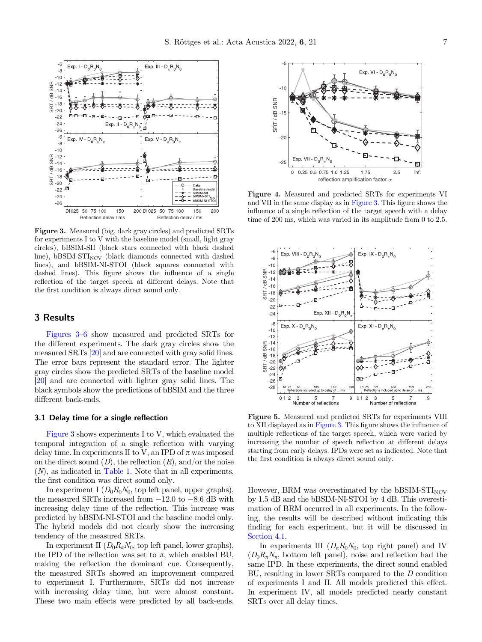<span id="page-6-0"></span>

Figure 3. Measured (big, dark gray circles) and predicted SRTs for experiments I to V with the baseline model (small, light gray circles), bBSIM-SII (black stars connected with black dashed line), bBSIM-STI<sub>NCV</sub> (black diamonds connected with dashed lines), and bBSIM-NI-STOI (black squares connected with dashed lines). This figure shows the influence of a single reflection of the target speech at different delays. Note that the first condition is always direct sound only.

#### 3 Results

Figures 3–[6](#page-7-0) show measured and predicted SRTs for the different experiments. The dark gray circles show the measured SRTs [[20](#page-12-0)] and are connected with gray solid lines. The error bars represent the standard error. The lighter gray circles show the predicted SRTs of the baseline model [\[20\]](#page-12-0) and are connected with lighter gray solid lines. The black symbols show the predictions of bBSIM and the three different back-ends.

#### 3.1 Delay time for a single reflection

Figure 3 shows experiments I to V, which evaluated the temporal integration of a single reflection with varying delay time. In experiments II to V, an IPD of  $\pi$  was imposed on the direct sound  $(D)$ , the reflection  $(R)$ , and/or the noise  $(N)$ , as indicated in [Table 1.](#page-2-0) Note that in all experiments, the first condition was direct sound only.

In experiment I  $(D_0R_0N_0$ , top left panel, upper graphs), the measured SRTs increased from  $-12.0$  to  $-8.6$  dB with increasing delay time of the reflection. This increase was predicted by bBSIM-NI-STOI and the baseline model only. The hybrid models did not clearly show the increasing tendency of the measured SRTs.

In experiment II  $(D_0R_{\pi}N_0,$  top left panel, lower graphs), the IPD of the reflection was set to  $\pi$ , which enabled BU, making the reflection the dominant cue. Consequently, the measured SRTs showed an improvement compared to experiment I. Furthermore, SRTs did not increase with increasing delay time, but were almost constant. These two main effects were predicted by all back-ends.



Figure 4. Measured and predicted SRTs for experiments VI and VII in the same display as in Figure 3. This figure shows the influence of a single reflection of the target speech with a delay time of 200 ms, which was varied in its amplitude from 0 to 2.5.



Figure 5. Measured and predicted SRTs for experiments VIII to XII displayed as in Figure 3. This figure shows the influence of multiple reflections of the target speech, which were varied by increasing the number of speech reflection at different delays starting from early delays. IPDs were set as indicated. Note that the first condition is always direct sound only.

However, BRM was overestimated by the bBSIM-STI $_{\text{NCV}}$ by 1.5 dB and the bBSIM-NI-STOI by 4 dB. This overestimation of BRM occurred in all experiments. In the following, the results will be described without indicating this finding for each experiment, but it will be discussed in [Section 4.1](#page-9-0).

In experiments III  $(D_{\pi}R_0N_0,$  top right panel) and IV  $(D_0R_{\pi}N_{\pi}$ , bottom left panel), noise and reflection had the same IPD. In these experiments, the direct sound enabled BU, resulting in lower SRTs compared to the D condition of experiments I and II. All models predicted this effect. In experiment IV, all models predicted nearly constant SRTs over all delay times.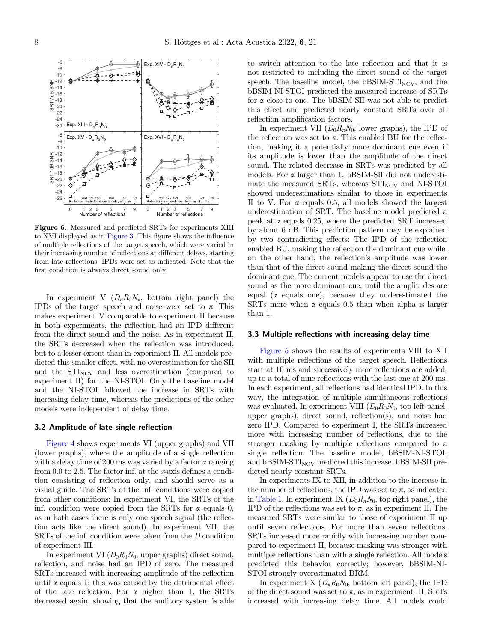<span id="page-7-0"></span>

Figure 6. Measured and predicted SRTs for experiments XIII to XVI displayed as in [Figure 3.](#page-6-0) This figure shows the influence of multiple reflections of the target speech, which were varied in their increasing number of reflections at different delays, starting from late reflections. IPDs were set as indicated. Note that the first condition is always direct sound only.

In experiment V  $(D_{\pi}R_0N_{\pi}$ , bottom right panel) the IPDs of the target speech and noise were set to  $\pi$ . This makes experiment V comparable to experiment II because in both experiments, the reflection had an IPD different from the direct sound and the noise. As in experiment II, the SRTs decreased when the reflection was introduced, but to a lesser extent than in experiment II. All models predicted this smaller effect, with no overestimation for the SII and the  $STI_{\text{NCV}}$  and less overestimation (compared to experiment II) for the NI-STOI. Only the baseline model and the NI-STOI followed the increase in SRTs with increasing delay time, whereas the predictions of the other models were independent of delay time.

#### 3.2 Amplitude of late single reflection

[Figure 4](#page-6-0) shows experiments VI (upper graphs) and VII (lower graphs), where the amplitude of a single reflection with a delay time of 200 ms was varied by a factor  $\alpha$  ranging from 0.0 to 2.5. The factor inf. at the x-axis defines a condition consisting of reflection only, and should serve as a visual guide. The SRTs of the inf. conditions were copied from other conditions: In experiment VI, the SRTs of the inf. condition were copied from the SRTs for  $\alpha$  equals 0, as in both cases there is only one speech signal (the reflection acts like the direct sound). In experiment VII, the SRTs of the inf. condition were taken from the D condition of experiment III.

In experiment VI  $(D_0R_0N_0,$  upper graphs) direct sound, reflection, and noise had an IPD of zero. The measured SRTs increased with increasing amplitude of the reflection until  $\alpha$  equals 1; this was caused by the detrimental effect of the late reflection. For  $\alpha$  higher than 1, the SRTs decreased again, showing that the auditory system is able

to switch attention to the late reflection and that it is not restricted to including the direct sound of the target speech. The baseline model, the bBSIM-STI<sub>NCV</sub>, and the bBSIM-NI-STOI predicted the measured increase of SRTs for  $\alpha$  close to one. The bBSIM-SII was not able to predict this effect and predicted nearly constant SRTs over all reflection amplification factors.

In experiment VII  $(D_0R_{\pi}N_0,$  lower graphs), the IPD of the reflection was set to  $\pi$ . This enabled BU for the reflection, making it a potentially more dominant cue even if its amplitude is lower than the amplitude of the direct sound. The related decrease in SRTs was predicted by all models. For  $\alpha$  larger than 1, bBSIM-SII did not underestimate the measured SRTs, whereas  $STI_{\rm NCV}$  and NI-STOI showed underestimations similar to those in experiments II to V. For  $\alpha$  equals 0.5, all models showed the largest underestimation of SRT. The baseline model predicted a peak at  $\alpha$  equals 0.25, where the predicted SRT increased by about 6 dB. This prediction pattern may be explained by two contradicting effects: The IPD of the reflection enabled BU, making the reflection the dominant cue while, on the other hand, the reflection's amplitude was lower than that of the direct sound making the direct sound the dominant cue. The current models appear to use the direct sound as the more dominant cue, until the amplitudes are equal  $(\alpha$  equals one), because they underestimated the SRTs more when  $\alpha$  equals 0.5 than when alpha is larger than 1.

#### 3.3 Multiple reflections with increasing delay time

[Figure 5](#page-6-0) shows the results of experiments VIII to XII with multiple reflections of the target speech. Reflections start at 10 ms and successively more reflections are added, up to a total of nine reflections with the last one at 200 ms. In each experiment, all reflections had identical IPD. In this way, the integration of multiple simultaneous reflections was evaluated. In experiment VIII  $(D_0R_0N_0,$  top left panel, upper graphs), direct sound, reflection(s), and noise had zero IPD. Compared to experiment I, the SRTs increased more with increasing number of reflections, due to the stronger masking by multiple reflections compared to a single reflection. The baseline model, bBSIM-NI-STOI, and  $\rm bBSIM\text{-}STI_{\rm NCV}$  predicted this increase.  $\rm bBSIM\text{-}SII$  predicted nearly constant SRTs.

In experiments IX to XII, in addition to the increase in the number of reflections, the IPD was set to  $\pi$ , as indicated in [Table 1](#page-2-0). In experiment IX  $(D_0R_{\pi}N_0, \text{top right panel})$ , the IPD of the reflections was set to  $\pi$ , as in experiment II. The measured SRTs were similar to those of experiment II up until seven reflections. For more than seven reflections, SRTs increased more rapidly with increasing number compared to experiment II, because masking was stronger with multiple reflections than with a single reflection. All models predicted this behavior correctly; however, bBSIM-NI-STOI strongly overestimated BRM.

In experiment X  $(D_{\pi}R_0N_0, \text{ bottom left panel}),$  the IPD of the direct sound was set to  $\pi$ , as in experiment III. SRTs increased with increasing delay time. All models could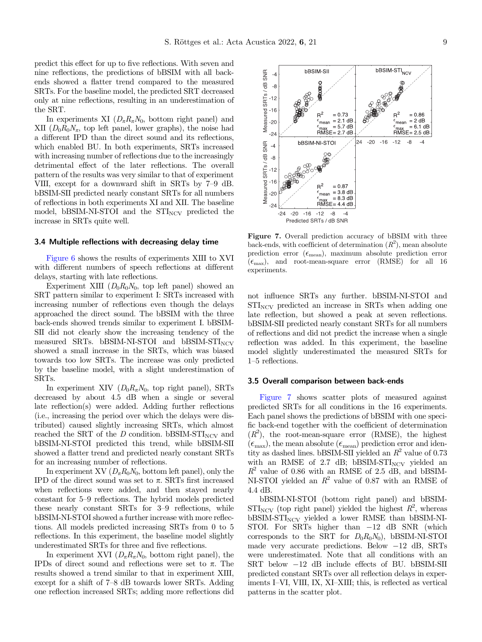predict this effect for up to five reflections. With seven and nine reflections, the predictions of bBSIM with all backends showed a flatter trend compared to the measured SRTs. For the baseline model, the predicted SRT decreased only at nine reflections, resulting in an underestimation of the SRT.

In experiments XI  $(D_{\pi}R_{\pi}N_0,$  bottom right panel) and XII  $(D_0R_0N_\pi,$  top left panel, lower graphs), the noise had a different IPD than the direct sound and its reflections, which enabled BU. In both experiments, SRTs increased with increasing number of reflections due to the increasingly detrimental effect of the later reflections. The overall pattern of the results was very similar to that of experiment VIII, except for a downward shift in SRTs by 7–9 dB. bBSIM-SII predicted nearly constant SRTs for all numbers of reflections in both experiments XI and XII. The baseline model, bBSIM-NI-STOI and the  $STI_{\text{NCV}}$  predicted the increase in SRTs quite well.

#### 3.4 Multiple reflections with decreasing delay time

[Figure 6](#page-7-0) shows the results of experiments XIII to XVI with different numbers of speech reflections at different delays, starting with late reflections.

Experiment XIII  $(D_0R_0N_0,$  top left panel) showed an SRT pattern similar to experiment I: SRTs increased with increasing number of reflections even though the delays approached the direct sound. The bBSIM with the three back-ends showed trends similar to experiment I. bBSIM-SII did not clearly show the increasing tendency of the measured SRTs. bBSIM-NI-STOI and bBSIM-STI $_{\text{NCV}}$ showed a small increase in the SRTs, which was biased towards too low SRTs. The increase was only predicted by the baseline model, with a slight underestimation of SRTs.

In experiment XIV  $(D_0R_{\pi}N_0,$  top right panel), SRTs decreased by about 4.5 dB when a single or several late reflection(s) were added. Adding further reflections (i.e., increasing the period over which the delays were distributed) caused slightly increasing SRTs, which almost reached the SRT of the D condition. bBSIM-STI<sub>NCV</sub> and bBSIM-NI-STOI predicted this trend, while bBSIM-SII showed a flatter trend and predicted nearly constant SRTs for an increasing number of reflections.

In experiment XV  $(D_{\pi}R_0N_0, \text{ bottom left panel}),$  only the IPD of the direct sound was set to  $\pi$ . SRTs first increased when reflections were added, and then stayed nearly constant for 5–9 reflections. The hybrid models predicted these nearly constant SRTs for 3–9 reflections, while bBSIM-NI-STOI showed a further increase with more reflections. All models predicted increasing SRTs from 0 to 5 reflections. In this experiment, the baseline model slightly underestimated SRTs for three and five reflections.

In experiment XVI  $(D_{\pi}R_{\pi}N_0,$  bottom right panel), the IPDs of direct sound and reflections were set to  $\pi$ . The results showed a trend similar to that in experiment XIII, except for a shift of 7–8 dB towards lower SRTs. Adding one reflection increased SRTs; adding more reflections did

Figure 7. Overall prediction accuracy of bBSIM with three back-ends, with coefficient of determination  $(R^2)$ , mean absolute prediction error  $(\epsilon_{\text{mean}})$ , maximum absolute prediction error  $(\epsilon_{\text{max}})$ , and root-mean-square error (RMSE) for all 16 experiments.

not influence SRTs any further. bBSIM-NI-STOI and  $STI_{\text{NCV}}$  predicted an increase in SRTs when adding one late reflection, but showed a peak at seven reflections. bBSIM-SII predicted nearly constant SRTs for all numbers of reflections and did not predict the increase when a single reflection was added. In this experiment, the baseline model slightly underestimated the measured SRTs for <sup>1</sup>–5 reflections.

#### 3.5 Overall comparison between back-ends

Figure 7 shows scatter plots of measured against predicted SRTs for all conditions in the 16 experiments. Each panel shows the predictions of bBSIM with one specific back-end together with the coefficient of determination  $(R<sup>2</sup>)$ , the root-mean-square error (RMSE), the highest  $(\epsilon_{\text{max}})$ , the mean absolute  $(\epsilon_{\text{mean}})$  prediction error and identity as dashed lines. bBSIM-SII yielded an  $R^2$  value of 0.73 with an RMSE of 2.7 dB; bBSIM-STI<sub>NCV</sub> yielded an  $R^2$  value of 0.86 with an RMSE of 2.5 dB, and bBSIM-NI-STOI yielded an  $R^2$  value of 0.87 with an RMSE of 4.4 dB.

bBSIM-NI-STOI (bottom right panel) and bBSIM- $STI_{\text{NCV}}$  (top right panel) yielded the highest  $R^2$ , whereas  $bBSIM-STI_{\text{NCV}}$  yielded a lower RMSE than  $bBSIM-NI-$ STOI. For SRTs higher than  $-12$  dB SNR (which corresponds to the SRT for  $D_0R_0N_0$ , bBSIM-NI-STOI made very accurate predictions. Below  $-12$  dB, SRTs were underestimated. Note that all conditions with an  $SRT$  below  $-12$  dB include effects of BU. bBSIM-SII predicted constant SRTs over all reflection delays in exper-iments I–VI, VIII, IX, XI–XIII; this, is reflected as vertical patterns in the scatter plot.

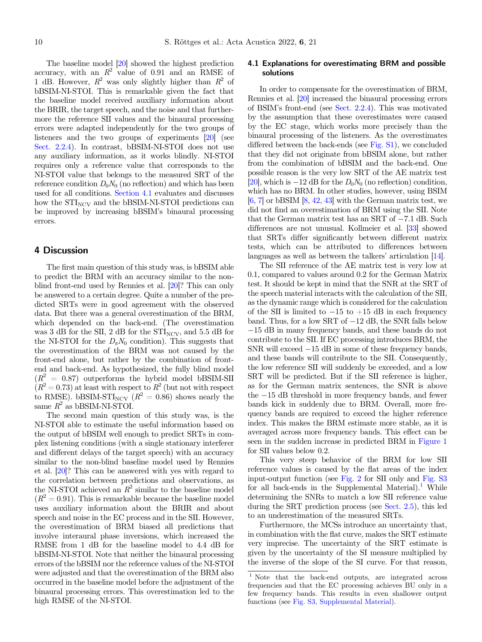<span id="page-9-0"></span>The baseline model [\[20\]](#page-12-0) showed the highest prediction accuracy, with an  $R^2$  value of 0.91 and an RMSE of 1 dB. However,  $R^2$  was only slightly higher than  $R^2$  of bBSIM-NI-STOI. This is remarkable given the fact that the baseline model received auxiliary information about the BRIR, the target speech, and the noise and that furthermore the reference SII values and the binaural processing errors were adapted independently for the two groups of listeners and the two groups of experiments [\[20](#page-12-0)] (see [Sect. 2.2.4\)](#page-3-0). In contrast, bBSIM-NI-STOI does not use any auxiliary information, as it works blindly. NI-STOI requires only a reference value that corresponds to the NI-STOI value that belongs to the measured SRT of the reference condition  $D_0N_0$  (no reflection) and which has been used for all conditions. Section 4.1 evaluates and discusses how the  $STI_{\text{NCV}}$  and the bBSIM-NI-STOI predictions can<br>be improved by increasing bBSIM's binaural processing errors.

#### 4 Discussion

The first main question of this study was, is bBSIM able to predict the BRM with an accuracy similar to the nonblind front-end used by Rennies et al. [\[20\]](#page-12-0)? This can only be answered to a certain degree. Quite a number of the predicted SRTs were in good agreement with the observed data. But there was a general overestimation of the BRM, which depended on the back-end. (The overestimation was 3 dB for the SII, 2 dB for the  $STI_{\text{NCV}}$ , and 5.5 dB for the NI-STOI for the  $D_{\pi}N_0$  condition). This suggests that the overestimation of the BRM was not caused by the front-end alone, but rather by the combination of frontend and back-end. As hypothesized, the fully blind model  $(R_{\text{I}}^2 = 0.87)$  outperforms the hybrid model bBSIM-SII  $(R^2 = 0.73)$  at least with respect to  $R^2$  (but not with respect to RMSE). bBSIM-STI<sub>NCV</sub>  $(R^2 = 0.86)$  shows nearly the same  $R^2$  as bBSIM-NI-STOI.

The second main question of this study was, is the NI-STOI able to estimate the useful information based on the output of bBSIM well enough to predict SRTs in complex listening conditions (with a single stationary interferer and different delays of the target speech) with an accuracy similar to the non-blind baseline model used by Rennies et al. [[20](#page-12-0)]? This can be answered with yes with regard to the correlation between predictions and observations, as the NI-STOI achieved an  $R^2$  similar to the baseline model  $(R^2 = 0.91)$ . This is remarkable because the baseline model uses auxiliary information about the BRIR and about speech and noise in the EC process and in the SII. However, the overestimation of BRM biased all predictions that involve interaural phase inversions, which increased the RMSE from 1 dB for the baseline model to 4.4 dB for bBSIM-NI-STOI. Note that neither the binaural processing errors of the bBSIM nor the reference values of the NI-STOI were adjusted and that the overestimation of the BRM also occurred in the baseline model before the adjustment of the binaural processing errors. This overestimation led to the high RMSE of the NI-STOI.

## 4.1 Explanations for overestimating BRM and possible solutions

In order to compensate for the overestimation of BRM, Rennies et al. [[20\]](#page-12-0) increased the binaural processing errors of BSIM's front-end (see [Sect. 2.2.4](#page-3-0)). This was motivated by the assumption that these overestimates were caused by the EC stage, which works more precisely than the binaural processing of the listeners. As the overestimates differed between the back-ends (see [Fig. S1](https://acta-acustica.edpsciences.org/10.1051/aacus/2022009/olm)), we concluded that they did not originate from bBSIM alone, but rather from the combination of bBSIM and the back-end. One possible reason is the very low SRT of the AE matrix test [[20](#page-12-0)], which is  $-12$  dB for the  $D_0N_0$  (no reflection) condition, which has no BRM. In other studies, however, using BSIM  $[6, 7]$  $[6, 7]$  $[6, 7]$  $[6, 7]$  or bBSIM  $[8, 42, 43]$  $[8, 42, 43]$  $[8, 42, 43]$  $[8, 42, 43]$  $[8, 42, 43]$  $[8, 42, 43]$  $[8, 42, 43]$  with the German matrix test, we did not find an overestimation of BRM using the SII. Note that the German matrix test has an SRT of  $-7.1$  dB. Such differences are not unusual. Kollmeier et al. [\[33\]](#page-12-0) showed that SRTs differ significantly between different matrix tests, which can be attributed to differences between languages as well as between the talkers' articulation [[14](#page-12-0)].

The SII reference of the AE matrix test is very low at 0.1, compared to values around 0.2 for the German Matrix test. It should be kept in mind that the SNR at the SRT of the speech material interacts with the calculation of the SII, as the dynamic range which is considered for the calculation of the SII is limited to  $-15$  to  $+15$  dB in each frequency band. Thus, for a low SRT of  $-12$  dB, the SNR falls below 15 dB in many frequency bands, and these bands do not contribute to the SII. If EC processing introduces BRM, the SNR will exceed  $-15$  dB in some of these frequency bands, and these bands will contribute to the SII. Consequently, the low reference SII will suddenly be exceeded, and a low SRT will be predicted. But if the SII reference is higher, as for the German matrix sentences, the SNR is above the  $-15$  dB threshold in more frequency bands, and fewer bands kick in suddenly due to BRM. Overall, more frequency bands are required to exceed the higher reference index. This makes the BRM estimate more stable, as it is averaged across more frequency bands. This effect can be seen in the sudden increase in predicted BRM in [Figure 1](#page-5-0) for SII values below 0.2.

This very steep behavior of the BRM for low SII reference values is caused by the flat areas of the index input-output function (see [Fig. 2](#page-5-0) for SII only and [Fig. S3](https://acta-acustica.edpsciences.org/10.1051/aacus/2022009/olm) for all back-ends in the Supplemental Material).<sup>1</sup> While determining the SNRs to match a low SII reference value during the SRT prediction process (see [Sect. 2.5\)](#page-4-0), this led to an underestimation of the measured SRTs.

Furthermore, the MCSs introduce an uncertainty that, in combination with the flat curve, makes the SRT estimate very imprecise. The uncertainty of the SRT estimate is given by the uncertainty of the SI measure multiplied by the inverse of the slope of the SI curve. For that reason,

<sup>1</sup> Note that the back-end outputs, are integrated across frequencies and that the EC processing achieves BU only in a few frequency bands. This results in even shallower output functions (see [Fig. S3, Supplemental Material\)](https://acta-acustica.edpsciences.org/10.1051/aacus/2022009/olm).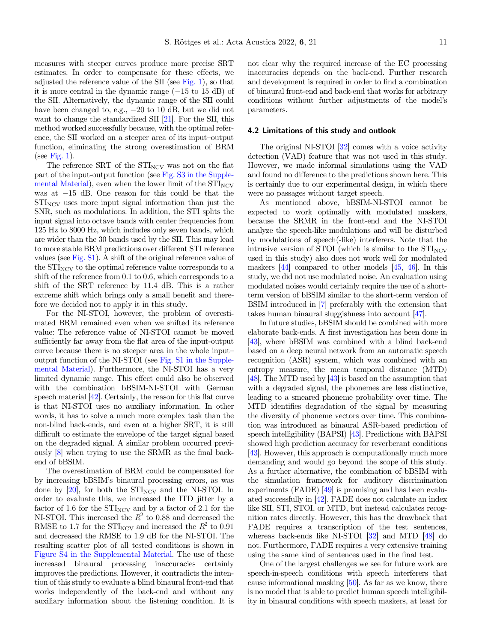measures with steeper curves produce more precise SRT estimates. In order to compensate for these effects, we adjusted the reference value of the SII (see [Fig. 1\)](#page-5-0), so that it is more central in the dynamic range  $(-15 \text{ to } 15 \text{ dB})$  of the SII. Alternatively, the dynamic range of the SII could have been changed to, e.g.,  $-20$  to 10 dB, but we did not want to change the standardized SII [\[21](#page-12-0)]. For the SII, this method worked successfully because, with the optimal reference, the SII worked on a steeper area of its input–output function, eliminating the strong overestimation of BRM (see [Fig. 1](#page-5-0)).

The reference SRT of the  $STI_{\text{NCV}}$  was not on the flat part of the input-output function (see [Fig. S3 in the Supple](https://acta-acustica.edpsciences.org/10.1051/aacus/2022009/olm)[mental Material\)](https://acta-acustica.edpsciences.org/10.1051/aacus/2022009/olm), even when the lower limit of the  $STI<sub>NCV</sub>$ was at  $-15$  dB. One reason for this could be that the  $STI_{\text{NCV}}$  uses more input signal information than just the SNR, such as modulations. In addition, the STI splits the input signal into octave bands with center frequencies from 125 Hz to 8000 Hz, which includes only seven bands, which are wider than the 30 bands used by the SII. This may lead to more stable BRM predictions over different STI reference values (see [Fig. S1](https://acta-acustica.edpsciences.org/10.1051/aacus/2022009/olm)). A shift of the original reference value of the  $STI_{\text{NCV}}$  to the optimal reference value corresponds to a shift of the reference from 0.1 to 0.6, which corresponds to a shift of the SRT reference by 11.4 dB. This is a rather extreme shift which brings only a small benefit and therefore we decided not to apply it in this study.

For the NI-STOI, however, the problem of overestimated BRM remained even when we shifted its reference value: The reference value of NI-STOI cannot be moved sufficiently far away from the flat area of the input-output curve because there is no steeper area in the whole input– output function of the NI-STOI (see [Fig. S1 in the Supple](https://acta-acustica.edpsciences.org/10.1051/aacus/2022009/olm)[mental Material](https://acta-acustica.edpsciences.org/10.1051/aacus/2022009/olm)). Furthermore, the NI-STOI has a very limited dynamic range. This effect could also be observed with the combination bBSIM-NI-STOI with German speech material [[42](#page-13-0)]. Certainly, the reason for this flat curve is that NI-STOI uses no auxiliary information. In other words, it has to solve a much more complex task than the non-blind back-ends, and even at a higher SRT, it is still difficult to estimate the envelope of the target signal based on the degraded signal. A similar problem occurred previously [\[8](#page-12-0)] when trying to use the SRMR as the final backend of bBSIM.

The overestimation of BRM could be compensated for by increasing bBSIM's binaural processing errors, as was done by  $[20]$  $[20]$ , for both the  $STI_{\text{NCV}}$  and the NI-STOI. In order to evaluate this, we increased the ITD jitter by a factor of 1.6 for the  $STI_{\text{NCV}}$  and by a factor of 2.1 for the NI-STOI. This increased the  $R^2$  to 0.88 and decreased the RMSE to 1.7 for the  $STI_{\text{NCV}}$  and increased the  $R^2$  to 0.91 and decreased the RMSE to 1.9 dB for the NI-STOI. The resulting scatter plot of all tested conditions is shown in [Figure S4 in the Supplemental Material](https://acta-acustica.edpsciences.org/10.1051/aacus/2022009/olm). The use of these increased binaural processing inaccuracies certainly improves the predictions. However, it contradicts the intention of this study to evaluate a blind binaural front-end that works independently of the back-end and without any auxiliary information about the listening condition. It is not clear why the required increase of the EC processing inaccuracies depends on the back-end. Further research and development is required in order to find a combination of binaural front-end and back-end that works for arbitrary conditions without further adjustments of the model'<sup>s</sup> parameters.

#### 4.2 Limitations of this study and outlook

The original NI-STOI [\[32\]](#page-12-0) comes with a voice activity detection (VAD) feature that was not used in this study. However, we made informal simulations using the VAD and found no difference to the predictions shown here. This is certainly due to our experimental design, in which there were no passages without target speech.

As mentioned above, bBSIM-NI-STOI cannot be expected to work optimally with modulated maskers, because the SRMR in the front-end and the NI-STOI analyze the speech-like modulations and will be disturbed by modulations of speech(-like) interferers. Note that the intrusive version of STOI (which is similar to the  $STI<sub>NCV</sub>$ used in this study) also does not work well for modulated maskers [\[44\]](#page-13-0) compared to other models [[45](#page-13-0), [46](#page-13-0)]. In this study, we did not use modulated noise. An evaluation using modulated noises would certainly require the use of a shortterm version of bBSIM similar to the short-term version of BSIM introduced in [[7](#page-12-0)] preferably with the extension that takes human binaural sluggishness into account [\[47\]](#page-13-0).

In future studies, bBSIM should be combined with more elaborate back-ends. A first investigation has been done in [[43](#page-13-0)], where bBSIM was combined with a blind back-end based on a deep neural network from an automatic speech recognition (ASR) system, which was combined with an entropy measure, the mean temporal distance (MTD) [[48](#page-13-0)]. The MTD used by [\[43](#page-13-0)] is based on the assumption that with a degraded signal, the phonemes are less distinctive, leading to a smeared phoneme probability over time. The MTD identifies degradation of the signal by measuring the diversity of phoneme vectors over time. This combination was introduced as binaural ASR-based prediction of speech intelligibility (BAPSI) [\[43\]](#page-13-0). Predictions with BAPSI showed high prediction accuracy for reverberant conditions [[43](#page-13-0)]. However, this approach is computationally much more demanding and would go beyond the scope of this study. As a further alternative, the combination of bBSIM with the simulation framework for auditory discrimination experiments (FADE) [\[49](#page-13-0)] is promising and has been evaluated successfully in [\[42\]](#page-13-0). FADE does not calculate an index like SII, STI, STOI, or MTD, but instead calculates recognition rates directly. However, this has the drawback that FADE requires a transcription of the test sentences, whereas back-ends like NI-STOI [\[32](#page-12-0)] and MTD [\[48\]](#page-13-0) do not. Furthermore, FADE requires a very extensive training using the same kind of sentences used in the final test.

One of the largest challenges we see for future work are speech-in-speech conditions with speech interferers that cause informational masking [\[50\]](#page-13-0). As far as we know, there is no model that is able to predict human speech intelligibility in binaural conditions with speech maskers, at least for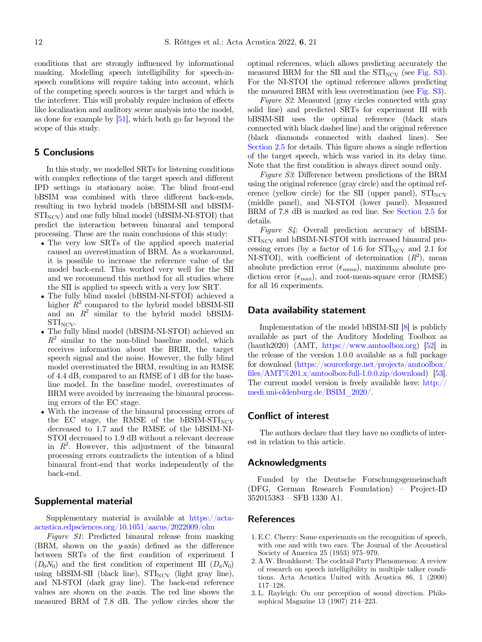<span id="page-11-0"></span>conditions that are strongly influenced by informational masking. Modelling speech intelligibility for speech-inspeech conditions will require taking into account, which of the competing speech sources is the target and which is the interferer. This will probably require inclusion of effects like localization and auditory scene analysis into the model, as done for example by [\[51\]](#page-13-0), which both go far beyond the scope of this study.

## 5 Conclusions

In this study, we modelled SRTs for listening conditions with complex reflections of the target speech and different IPD settings in stationary noise. The blind front-end bBSIM was combined with three different back-ends, resulting in two hybrid models (bBSIM-SII and bBSIM- $STI_{\text{NCV}}$ ) and one fully blind model (bBSIM-NI-STOI) that predict the interaction between binaural and temporal processing. These are the main conclusions of this study:

- The very low SRTs of the applied speech material caused an overestimation of BRM. As a workaround, it is possible to increase the reference value of the model back-end. This worked very well for the SII and we recommend this method for all studies where the SII is applied to speech with a very low SRT.
- The fully blind model (bBSIM-NI-STOI) achieved a higher  $R^2$  compared to the hybrid model bBSIM-SII and an  $R^2$  similar to the hybrid model bBSIM- $STI_{\rm NCV}$ .
- The fully blind model (bBSIM-NI-STOI) achieved an  $R^2$  similar to the non-blind baseline model, which receives information about the BRIR, the target speech signal and the noise. However, the fully blind model overestimated the BRM, resulting in an RMSE of 4.4 dB, compared to an RMSE of 1 dB for the baseline model. In the baseline model, overestimates of BRM were avoided by increasing the binaural processing errors of the EC stage.
- With the increase of the binaural processing errors of the EC stage, the RMSE of the bBSIM-STI<sub>NCV</sub> decreased to 1.7 and the RMSE of the bBSIM-NI-STOI decreased to 1.9 dB without a relevant decrease in  $R^2$ . However, this adjustment of the binaural processing errors contradicts the intention of a blind binaural front-end that works independently of the back-end.

# Supplemental material

Supplementary material is available at [https://acta](https://acta-acustica.edpsciences.org/10.1051/aacus/2022009/olm)[acustica.edpsciences.org/10.1051/aacus/2022009/olm](https://acta-acustica.edpsciences.org/10.1051/aacus/2022009/olm)

Figure S1: Predicted binaural release from masking (BRM, shown on the  $\nu$ -axis) defined as the difference between SRTs of the first condition of experiment I  $(D_0N_0)$  and the first condition of experiment III  $(D_nN_0)$ using bBSIM-SII (black line),  $STI_{\text{NCV}}$  (light gray line), and NI-STOI (dark gray line). The back-end reference values are shown on the x-axis. The red line shows the measured BRM of 7.8 dB. The yellow circles show the optimal references, which allows predicting accurately the measured BRM for the SII and the  $STI_{\text{NCV}}$  (see [Fig. S3](https://acta-acustica.edpsciences.org/10.1051/aacus/2022009/olm)). For the NI-STOI the optimal reference allows predicting the measured BRM with less overestimation (see [Fig. S3](https://acta-acustica.edpsciences.org/10.1051/aacus/2022009/olm)).

Figure S2: Measured (gray circles connected with gray solid line) and predicted SRTs for experiment III with bBSIM-SII uses the optimal reference (black stars connected with black dashed line) and the original reference (black diamonds connected with dashed lines). See [Section 2.5](#page-4-0) for details. This figure shows a single reflection of the target speech, which was varied in its delay time. Note that the first condition is always direct sound only.

Figure S3: Difference between predictions of the BRM using the original reference (gray circle) and the optimal reference (yellow circle) for the SII (upper panel),  $STI_{\text{NCV}}$ (middle panel), and NI-STOI (lower panel). Measured BRM of 7.8 dB is marked as red line. See [Section 2.5](#page-4-0) for details.

Figure S4: Overall prediction accuracy of bBSIM- $STI_{\text{NCV}}$  and bBSIM-NI-STOI with increased binaural processing errors (by a factor of 1.6 for  $STI_{\text{NCV}}$  and 2.1 for NI-STOI), with coefficient of determination  $(R^2)$ , mean absolute prediction error  $(\epsilon_{\text{mean}})$ , maximum absolute prediction error  $(\epsilon_{\text{max}})$ , and root-mean-square error (RMSE) for all 16 experiments.

## Data availability statement

Implementation of the model bBSIM-SII [[8\]](#page-12-0) is publicly available as part of the Auditory Modeling Toolbox as (hauth2020) (AMT, [https://www.amtoolbox.org\)](https://www.amtoolbox.org) [[52](#page-13-0)] in the release of the version 1.0.0 available as a full package for download [\(https://sourceforge.net/projects/amtoolbox/](https://sourceforge.net/projects/amtoolbox/files/AMT%201.x/amtoolbox-full-1.0.0.zip/download) files/AMT\%201.x/amtoolbox-full-1.0.0.zip/download) [\[53\]](#page-13-0). The current model version is freely available here: [http://](http://medi.uni-oldenburg.de/BSIM_2020/) [medi.uni-oldenburg.de/BSIM\\_2020/](http://medi.uni-oldenburg.de/BSIM_2020/).

# Conflict of interest

The authors declare that they have no conflicts of interest in relation to this article.

## Acknowledgments

Funded by the Deutsche Forschungsgemeinschaft (DFG, German Research Foundation) – Project-ID <sup>352015383</sup> – SFB 1330 A1.

## References

- 1. E.C. Cherry: Some experiemnts on the recognition of speech, with one and with two ears. The Journal of the Acoustical Society of America 25 (1953) 975–979.
- 2. A.W. Bronkhorst: The cocktail Party Phenomenon: A review of research on speech intelligibility in multiple talker conditions. Acta Acustica United with Acustica 86, 1 (2000) <sup>117</sup>–128.
- 3. L. Rayleigh: On our perception of sound direction. Philo-sophical Magazine 13 (1907) 214–223.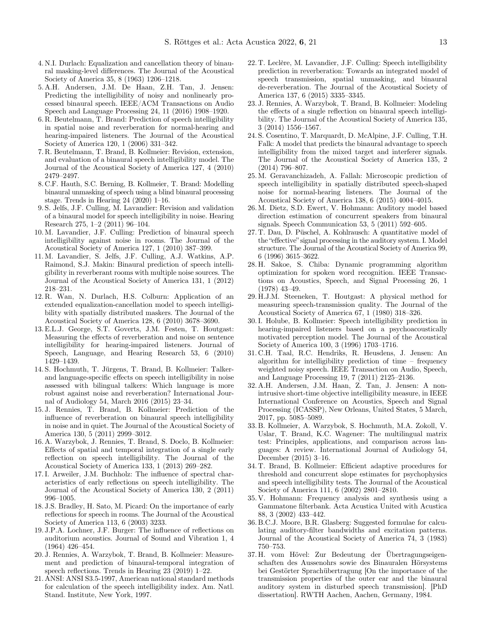- <span id="page-12-0"></span>4. N.I. Durlach: Equalization and cancellation theory of binaural masking-level differences. The Journal of the Acoustical Society of America 35, 8 (1963) 1206–1218.
- 5. A.H. Andersen, J.M. De Haan, Z.H. Tan, J. Jensen: Predicting the intelligibility of noisy and nonlinearly processed binaural speech. IEEE/ACM Transactions on Audio Speech and Language Processing 24, 11 (2016) 1908–1920.
- 6. R. Beutelmann, T. Brand: Prediction of speech intelligibility in spatial noise and reverberation for normal-hearing and hearing-impaired listeners. The Journal of the Acoustical Society of America 120, 1 (2006) 331–342.
- 7. R. Beutelmann, T. Brand, B. Kollmeier: Revision, extension, and evaluation of a binaural speech intelligibility model. The Journal of the Acoustical Society of America 127, 4 (2010) <sup>2479</sup>–2497.
- 8. C.F. Hauth, S.C. Berning, B. Kollmeier, T. Brand: Modelling binaural unmasking of speech using a blind binaural processing stage. Trends in Hearing 24 (2020) 1–16.
- 9. S. Jelfs, J.F. Culling, M. Lavandier: Revision and validation of a binaural model for speech intelligibility in noise. Hearing Research 275, 1–2 (2011) 96–104.
- 10. M. Lavandier, J.F. Culling: Prediction of binaural speech intelligibility against noise in rooms. The Journal of the Acoustical Society of America 127, 1 (2010) 387–399.
- 11. M. Lavandier, S. Jelfs, J.F. Culling, A.J. Watkins, A.P. Raimond, S.J. Makin: Binaural prediction of speech intelligibility in reverberant rooms with multiple noise sources. The Journal of the Acoustical Society of America 131, 1 (2012) <sup>218</sup>–231.
- 12. R. Wan, N. Durlach, H.S. Colburn: Application of an extended equalization-cancellation model to speech intelligibility with spatially distributed maskers. The Journal of the Acoustical Society of America 128, 6 (2010) 3678–3690.
- 13. E.L.J. George, S.T. Goverts, J.M. Festen, T. Houtgast: Measuring the effects of reverberation and noise on sentence intelligibility for hearing-impaired listeners. Journal of Speech, Language, and Hearing Research 53, 6 (2010) <sup>1429</sup>–1439.
- 14. S. Hochmuth, T. Jürgens, T. Brand, B. Kollmeier: Talkerand language-specific effects on speech intelligibility in noise assessed with bilingual talkers: Which language is more robust against noise and reverberation? International Journal of Audiology 54, March 2016 (2015) 23–34.
- 15. J. Rennies, T. Brand, B. Kollmeier: Prediction of the influence of reverberation on binaural speech intelligibility in noise and in quiet. The Journal of the Acoustical Society of America 130, 5 (2011) 2999–3012.
- 16. A. Warzybok, J. Rennies, T. Brand, S. Doclo, B. Kollmeier: Effects of spatial and temporal integration of a single early reflection on speech intelligibility. The Journal of the Acoustical Society of America 133, 1 (2013) 269–282.
- 17. I. Arweiler, J.M. Buchholz: The influence of spectral characteristics of early reflections on speech intelligibility. The Journal of the Acoustical Society of America 130, 2 (2011) <sup>996</sup>–1005.
- 18. J.S. Bradley, H. Sato, M. Picard: On the importance of early reflections for speech in rooms. The Journal of the Acoustical Society of America 113, 6 (2003) 3233.
- 19. J.P.A. Lochner, J.F. Burger: The influence of reflections on auditorium acoustics. Journal of Sound and Vibration 1, 4 (1964) 426–454.
- 20. J. Rennies, A. Warzybok, T. Brand, B. Kollmeier: Measurement and prediction of binaural-temporal integration of speech reflections. Trends in Hearing 23 (2019) 1–22.
- 21. ANSI: ANSI S3.5-1997, American national standard methods for calculation of the speech intelligibility index. Am. Natl. Stand. Institute, New York, 1997.
- 22. T. Leclère, M. Lavandier, J.F. Culling: Speech intelligibility prediction in reverberation: Towards an integrated model of speech transmission, spatial unmasking, and binaural de-reverberation. The Journal of the Acoustical Society of America 137, 6 (2015) 3335–3345.
- 23. J. Rennies, A. Warzybok, T. Brand, B. Kollmeier: Modeling the effects of a single reflection on binaural speech intelligibility. The Journal of the Acoustical Society of America 135, 3 (2014) 1556–1567.
- 24. S. Cosentino, T. Marquardt, D. McAlpine, J.F. Culling, T.H. Falk: A model that predicts the binaural advantage to speech intelligibility from the mixed target and interferer signals. The Journal of the Acoustical Society of America 135, 2 (2014) 796–807.
- 25. M. Geravanchizadeh, A. Fallah: Microscopic prediction of speech intelligibility in spatially distributed speech-shaped noise for normal-hearing listeners. The Journal of the Acoustical Society of America 138, 6 (2015) 4004–4015.
- 26. M. Dietz, S.D. Ewert, V. Hohmann: Auditory model based direction estimation of concurrent speakers from binaural signals. Speech Communication 53, 5 (2011) 592–605.
- 27. T. Dau, D. Püschel, A. Kohlrausch: A quantitative model of the "effective" signal processing in the auditory system. I. Model structure. The Journal of the Acoustical Society of America 99, 6 (1996) 3615–3622.
- 28. H. Sakoe, S. Chiba: Dynamic programming algorithm optimization for spoken word recognition. IEEE Transactions on Acoustics, Speech, and Signal Processing 26, 1 (1978) 43–49.
- 29. H.J.M. Steeneken, T. Houtgast: A physical method for measuring speech-transmission quality. The Journal of the Acoustical Society of America 67, 1 (1980) 318–326.
- 30. I. Holube, B. Kollmeier: Speech intelligibility prediction in hearing-impaired listeners based on a psychoacoustically motivated perception model. The Journal of the Acoustical Society of America 100, 3 (1996) 1703–1716.
- 31. C.H. Taal, R.C. Hendriks, R. Heusdens, J. Jensen: An algorithm for intelligibility prediction of time – frequency weighted noisy speech. IEEE Transaction on Audio, Speech, and Language Processing 19, 7 (2011) 2125–2136.
- 32. A.H. Andersen, J.M. Haan, Z. Tan, J. Jensen: A nonintrusive short-time objective intelligibility measure, in IEEE International Conference on Acoustics, Speech and Signal Processing (ICASSP), New Orleans, United States, 5 March, 2017, pp. 5085–5089.
- 33. B. Kollmeier, A. Warzybok, S. Hochmuth, M.A. Zokoll, V. Uslar, T. Brand, K.C. Wagener: The multilingual matrix test: Principles, applications, and comparison across languages: A review. International Journal of Audiology 54, December (2015) 3–16.
- 34. T. Brand, B. Kollmeier: Efficient adaptive procedures for threshold and concurrent slope estimates for psychophysics and speech intelligibility tests. The Journal of the Acoustical Society of America 111, 6 (2002) 2801–2810.
- 35. V. Hohmann: Frequency analysis and synthesis using a Gammatone filterbank. Acta Acustica United with Acustica 88, 3 (2002) 433–442.
- 36. B.C.J. Moore, B.R. Glasberg: Suggested formulae for calculating auditory-filter bandwidths and excitation patterns. Journal of the Acoustical Society of America 74, 3 (1983) <sup>750</sup>–753.
- 37. H. vom Hövel: Zur Bedeutung der Übertragungseigenschaften des Aussenohrs sowie des Binauralen Hörsystems bei Gestörter Sprachübertragung [On the importance of the transmission properties of the outer ear and the binaural auditory system in disturbed speech transmission]. [PhD dissertation]. RWTH Aachen, Aachen, Germany, 1984.